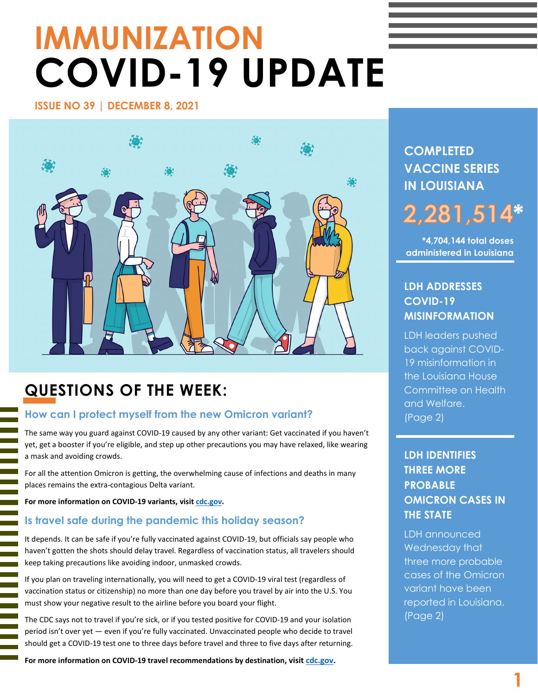# **IMMUNIZATION COVID-19 UPDATE**

**ISSUE NO 39 | DECEMBER 8, 2021** 



# **QUESTIONS OF THE WEEK:**

### **How can I protect myself from the new Omicron variant?**

The same way you guard against COVID-19 caused by any other variant: Get vaccinated if you haven't yet, get a booster if you're eligible, and step up other precautions you may have relaxed, like wearing a mask and avoiding crowds.

For all the attention Omicron is getting, the overwhelming cause of infections and deaths in many places remains the extra-contagious Delta variant.

**For more information on COVID-19 variants, visit [cdc.gov.](https://www.cdc.gov/coronavirus/2019-ncov/variants/variant.html)**

l

#### **Is travel safe during the pandemic this holiday season?**

It depends. It can be safe if you're fully vaccinated against COVID-19, but officials say people who haven't gotten the shots should delay travel. Regardless of vaccination status, all travelers should keep taking precautions like avoiding indoor, unmasked crowds.

If you plan on traveling internationally, you will need to get a COVID-19 viral test (regardless of vaccination status or citizenship) no more than one day before you travel by air into the U.S. You must show your negative result to the airline before you board your flight.

The CDC says not to travel if you're sick, or if you tested positive for COVID-19 and your isolation period isn't over yet — even if you're fully vaccinated. Unvaccinated people who decide to travel should get a COVID-19 test one to three days before travel and three to five days after returning.

**For more information on COVID-19 travel recommendations by destination, visit [cdc.gov.](https://www.cdc.gov/coronavirus/2019-ncov/travelers/map-and-travel-notices.html)**

**COMPLETED VACCINE SERIES IN LOUISIANA**

# **\***

**\*4,704,144 total doses administered in Louisiana**

### **LDH ADDRESSES COVID-19 MISINFORMATION**

LDH leaders pushed back against COVID-19 misinformation in the Louisiana House Committee on Health and Welfare. (Page 2)

## **LDH IDENTIFIES THREE MORE PROBABLE OMICRON CASES IN THE STATE**

LDH announced Wednesday that three more probable cases of the Omicron variant have been reported in Louisiana. (Page 2)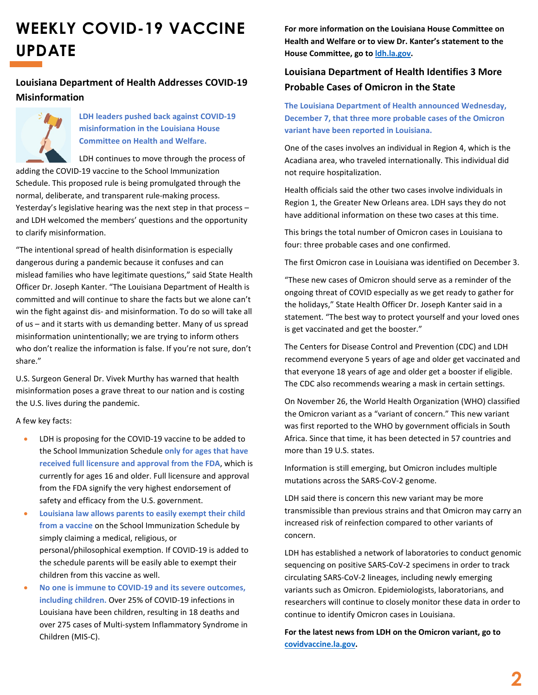# **WEEKLY COVID-19 VACCINE UPDATE**

#### **Louisiana Department of Health Addresses COVID-19 Misinformation**



**LDH leaders pushed back against COVID-19 misinformation in the Louisiana House Committee on Health and Welfare.**

LDH continues to move through the process of adding the COVID-19 vaccine to the School Immunization Schedule. This proposed rule is being promulgated through the normal, deliberate, and transparent rule-making process. Yesterday's legislative hearing was the next step in that process – and LDH welcomed the members' questions and the opportunity to clarify misinformation.

"The intentional spread of health disinformation is especially dangerous during a pandemic because it confuses and can mislead families who have legitimate questions," said State Health Officer Dr. Joseph Kanter. "The Louisiana Department of Health is committed and will continue to share the facts but we alone can't win the fight against dis- and misinformation. To do so will take all of us – and it starts with us demanding better. Many of us spread misinformation unintentionally; we are trying to inform others who don't realize the information is false. If you're not sure, don't share."

U.S. Surgeon General Dr. Vivek Murthy has warned that health misinformation poses a grave threat to our nation and is costing the U.S. lives during the pandemic.

A few key facts:

- LDH is proposing for the COVID-19 vaccine to be added to the School Immunization Schedule **only for ages that have received full licensure and approval from the FDA**, which is currently for ages 16 and older. Full licensure and approval from the FDA signify the very highest endorsement of safety and efficacy from the U.S. government.
- **Louisiana law allows parents to easily exempt their child from a vaccine** on the School Immunization Schedule by simply claiming a medical, religious, or personal/philosophical exemption. If COVID-19 is added to the schedule parents will be easily able to exempt their children from this vaccine as well.
- **No one is immune to COVID-19 and its severe outcomes, including children.** Over 25% of COVID-19 infections in Louisiana have been children, resulting in 18 deaths and over 275 cases of Multi-system Inflammatory Syndrome in Children (MIS-C).

**For more information on the Louisiana House Committee on Health and Welfare or to view Dr. Kanter's statement to the House Committee, go to [ldh.la.gov.](https://ldh.la.gov/news/6433)**

### **Louisiana Department of Health Identifies 3 More Probable Cases of Omicron in the State**

**The Louisiana Department of Health announced Wednesday, December 7, that three more probable cases of the Omicron variant have been reported in Louisiana.** 

One of the cases involves an individual in Region 4, which is the Acadiana area, who traveled internationally. This individual did not require hospitalization.

Health officials said the other two cases involve individuals in Region 1, the Greater New Orleans area. LDH says they do not have additional information on these two cases at this time.

This brings the total number of Omicron cases in Louisiana to four: three probable cases and one confirmed.

The first Omicron case in Louisiana was identified on December 3.

"These new cases of Omicron should serve as a reminder of the ongoing threat of COVID especially as we get ready to gather for the holidays," State Health Officer Dr. Joseph Kanter said in a statement. "The best way to protect yourself and your loved ones is get vaccinated and get the booster."

The Centers for Disease Control and Prevention (CDC) and LDH recommend everyone 5 years of age and older get vaccinated and that everyone 18 years of age and older get a booster if eligible. The CDC also recommends wearing a mask in certain settings.

On November 26, the World Health Organization (WHO) classified the Omicron variant as a "variant of concern." This new variant was first reported to the WHO by government officials in South Africa. Since that time, it has been detected in 57 countries and more than 19 U.S. states.

Information is still emerging, but Omicron includes multiple mutations across the SARS-CoV-2 genome.

LDH said there is concern this new variant may be more transmissible than previous strains and that Omicron may carry an increased risk of reinfection compared to other variants of concern.

LDH has established a network of laboratories to conduct genomic sequencing on positive SARS-CoV-2 specimens in order to track circulating SARS-CoV-2 lineages, including newly emerging variants such as Omicron. Epidemiologists, laboratorians, and researchers will continue to closely monitor these data in order to continue to identify Omicron cases in Louisiana.

**For the latest news from LDH on the Omicron variant, go to [covidvaccine.la.gov.](https://ldh.la.gov/news/category/233)**